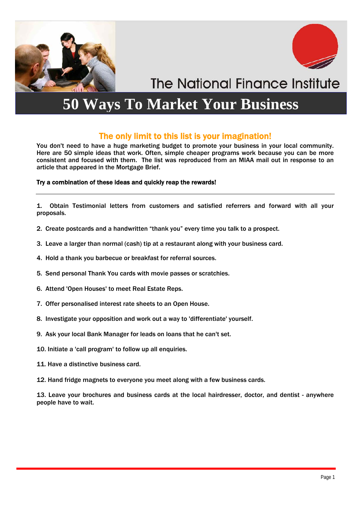



**The National Finance Institute** 

### **50 Ways To Market Your Business**

### The only limit to this list is your imagination!

You don't need to have a huge marketing budget to promote your business in your local community. Here are 50 simple ideas that work. Often, simple cheaper programs work because you can be more consistent and focused with them. The list was reproduced from an MIAA mail out in response to an article that appeared in the Mortgage Brief.

#### Try a combination of these ideas and quickly reap the rewards!

1. Obtain Testimonial letters from customers and satisfied referrers and forward with all your proposals.

- 2. Create postcards and a handwritten "thank you" every time you talk to a prospect.
- 3. Leave a larger than normal (cash) tip at a restaurant along with your business card.
- 4. Hold a thank you barbecue or breakfast for referral sources.
- 5. Send personal Thank You cards with movie passes or scratchies.
- 6. Attend 'Open Houses' to meet Real Estate Reps.
- 7. Offer personalised interest rate sheets to an Open House.
- 8. Investigate your opposition and work out a way to 'differentiate' yourself.
- 9. Ask your local Bank Manager for leads on loans that he can't set.
- 10. Initiate a 'call program' to follow up all enquiries.
- 11. Have a distinctive business card.
- 12. Hand fridge magnets to everyone you meet along with a few business cards.

13. Leave your brochures and business cards at the local hairdresser, doctor, and dentist - anywhere people have to wait.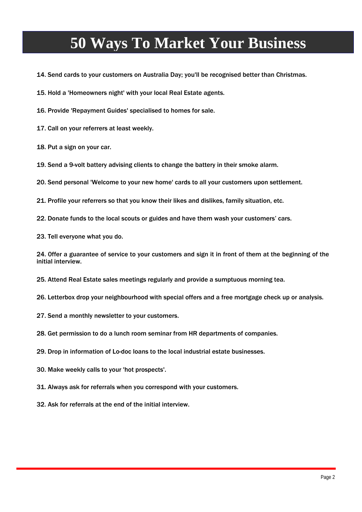## **50 Ways To Market Your Business**

14. Send cards to your customers on Australia Day; you'll be recognised better than Christmas.

15. Hold a 'Homeowners night' with your local Real Estate agents.

16. Provide 'Repayment Guides' specialised to homes for sale.

17. Call on your referrers at least weekly.

18. Put a sign on your car.

19. Send a 9-volt battery advising clients to change the battery in their smoke alarm.

20. Send personal 'Welcome to your new home' cards to all your customers upon settlement.

21. Profile your referrers so that you know their likes and dislikes, family situation, etc.

22. Donate funds to the local scouts or guides and have them wash your customers' cars.

23. Tell everyone what you do.

24. 0ffer a guarantee of service to your customers and sign it in front of them at the beginning of the initial interview.

25. Attend Real Estate sales meetings regularly and provide a sumptuous morning tea.

26. Letterbox drop your neighbourhood with special offers and a free mortgage check up or analysis.

27. Send a monthly newsletter to your customers.

28. Get permission to do a lunch room seminar from HR departments of companies.

29. Drop in information of Lo-doc loans to the local industrial estate businesses.

30. Make weekly calls to your 'hot prospects'.

31. Always ask for referrals when you correspond with your customers.

32. Ask for referrals at the end of the initial interview.